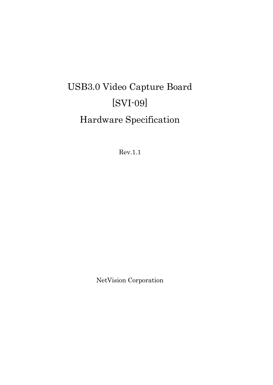# USB3.0 Video Capture Board [SVI-09] Hardware Specification

Rev.1.1

NetVision Corporation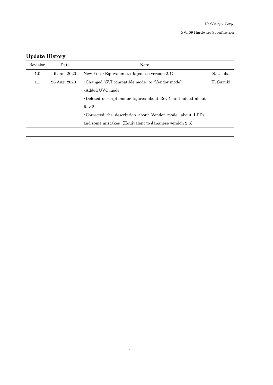## Update History

| Revision | Date         | <b>Note</b>                                                  |           |
|----------|--------------|--------------------------------------------------------------|-----------|
| 1.0      | 9 Jan. 2020  | New File (Equivalent to Japanese version 2.1)                | S. Usuba  |
| 1.1      | 28 Aug. 2020 | •Changed "SVI compatible mode" to "Vendor mode"              | H. Suzuki |
|          |              | • Added UVC mode                                             |           |
|          |              | •Deleted descriptions or figures about Rev.1 and added about |           |
|          |              | Rev.2                                                        |           |
|          |              | Corrected the description about Vendor mode, about LEDs,     |           |
|          |              | and some mistakes (Equivalent to Japanese version 2.8)       |           |
|          |              |                                                              |           |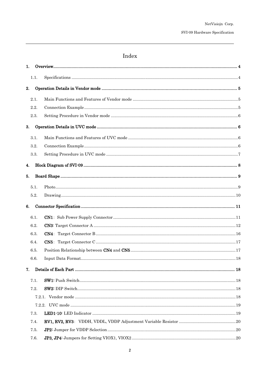### ${\rm Index}$

| 1.1.<br>2.<br>2.1.<br>2.2.<br>2.3.<br>3.<br>3.1.<br>3.2.<br>3.3.<br>4.<br>5.<br>5.1.<br>5.2.<br>6.<br>6.1.<br>6.2.<br>6.3.<br>6.4.<br>6.5.<br>6.6.<br>7. |  |
|----------------------------------------------------------------------------------------------------------------------------------------------------------|--|
|                                                                                                                                                          |  |
|                                                                                                                                                          |  |
|                                                                                                                                                          |  |
|                                                                                                                                                          |  |
|                                                                                                                                                          |  |
|                                                                                                                                                          |  |
|                                                                                                                                                          |  |
|                                                                                                                                                          |  |
|                                                                                                                                                          |  |
|                                                                                                                                                          |  |
|                                                                                                                                                          |  |
|                                                                                                                                                          |  |
|                                                                                                                                                          |  |
|                                                                                                                                                          |  |
|                                                                                                                                                          |  |
|                                                                                                                                                          |  |
|                                                                                                                                                          |  |
|                                                                                                                                                          |  |
|                                                                                                                                                          |  |
|                                                                                                                                                          |  |
|                                                                                                                                                          |  |
|                                                                                                                                                          |  |
| 7.1.                                                                                                                                                     |  |
| 7.2.                                                                                                                                                     |  |
|                                                                                                                                                          |  |
|                                                                                                                                                          |  |
| 7.3.                                                                                                                                                     |  |
| 7.4.                                                                                                                                                     |  |
| 7.5.                                                                                                                                                     |  |
| 7.6.                                                                                                                                                     |  |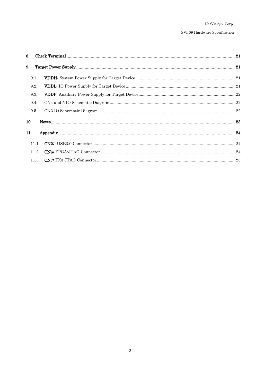| 8.    |  |
|-------|--|
| 9.    |  |
| 9.1.  |  |
| 9.2.  |  |
| 9.3.  |  |
| 9.4.  |  |
| 9.5.  |  |
| 10.   |  |
| 11.   |  |
| 11.1. |  |
| 11.2. |  |
| 11.3. |  |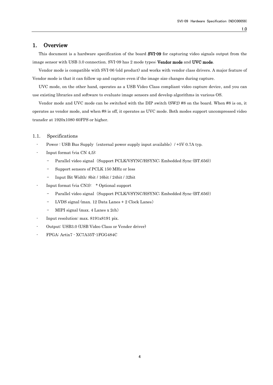### <span id="page-4-0"></span>1. Overview

This document is a hardware specification of the board **SVI-09** for capturing video signals output from the image sensor with USB 3.0 connection. SVI-09 has 2 mode types; Vendor mode and UVC mode.

Vendor mode is compatible with SVI-06 (old product) and works with vendor class drivers. A major feature of Vendor mode is that it can follow up and capture even if the image size changes during capture.

UVC mode, on the other hand, operates as a USB Video Class compliant video capture device, and you can use existing libraries and software to evaluate image sensors and develop algorithms in various OS.

Vendor mode and UVC mode can be switched with the DIP switch (SW2) #8 on the board. When #8 is on, it operates as vendor mode, and when #8 is off, it operates as UVC mode. Both modes support uncompressed video transfer at 1920x1080 60FPS or higher.

#### <span id="page-4-1"></span>1.1. Specifications

- Power : USB Bus Supply (external power supply input available) / +5V 0.7A typ.
- $\cdot$  Input format (via CN 4,5):
	- Parallel video signal (Support PCLK/VSYNC/HSYNC; Embedded Sync (BT.656))
	- Support sensors of PCLK 150 MHz or less
	- Input Bit Width: 8bit / 16bit / 24bit / 32bit
- Input format (via CN3): \* Optional support
	- Parallel video signal (Support PCLK/VSYNC/HSYNC; Embedded Sync (BT.656))
	- LVDS signal (max. 12 Data Lanes + 2 Clock Lanes)
	- MIPI signal (max. 4 Lanes x 2ch)
- Input resolution: max. 8191x8191 pix.
- Output: USB3.0 (USB Video Class or Vender driver)
- FPGA: Artix7 XC7A35T-1FGG484C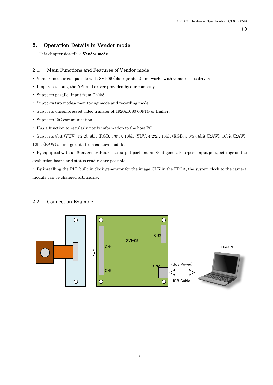### <span id="page-5-0"></span>2. Operation Details in Vendor mode

This chapter describes Vendor mode.

### <span id="page-5-1"></span>2.1. Main Functions and Features of Vendor mode

- ・ Vendor mode is compatible with SVI-06 (older product) and works with vendor class drivers.
- ・ It operates using the API and driver provided by our company.
- ・ Supports parallel input from CN4/5.
- ・ Supports two modes: monitoring mode and recording mode.
- ・ Supports uncompressed video transfer of 1920x1080 60FPS or higher.
- ・ Supports I2C communication.
- ・ Has a function to regularly notify information to the host PC
- ・ Supports 8bit (YUV, 4:2:2), 8bit (RGB, 5:6:5), 16bit (YUV, 4:2:2), 16bit (RGB, 5:6:5), 8bit (RAW), 10bit (RAW),

12bit (RAW) as image data from camera module.

・ By equipped with an 8-bit general-purpose output port and an 8-bit general-purpose input port, settings on the evaluation board and status reading are possible.

・ By installing the PLL built-in clock generator for the image CLK in the FPGA, the system clock to the camera module can be changed arbitrarily.



### <span id="page-5-2"></span>2.2. Connection Example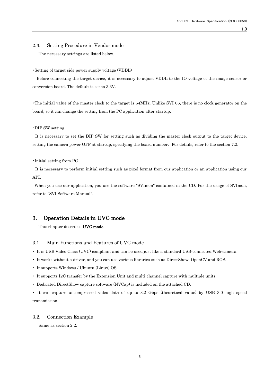### <span id="page-6-0"></span>2.3. Setting Procedure in Vendor mode

The necessary settings are listed below.

#### ・Setting of target side power supply voltage (VDDL)

Before connecting the target device, it is necessary to adjust VDDL to the IO voltage of the image sensor or conversion board. The default is set to 3.3V.

・The initial value of the master clock to the target is 54MHz. Unlike SVI-06, there is no clock generator on the board, so it can change the setting from the PC application after startup.

#### ・DIP SW setting

It is necessary to set the DIP SW for setting such as dividing the master clock output to the target device, setting the camera power OFF at startup, specifying the board number. For details, refer to the section 7.2.

#### ・Initial setting from PC

It is necessary to perform initial setting such as pixel format from our application or an application using our API.

When you use our application, you use the software "SVImon" contained in the CD. For the usage of SVImon, refer to "SVI Software Manual".

### <span id="page-6-1"></span>3. Operation Details in UVC mode

This chapter describes UVC mode.

### <span id="page-6-2"></span>3.1. Main Functions and Features of UVC mode

・ It is USB Video Class (UVC) compliant and can be used just like a standard USB-connected Web-camera.

- ・ It works without a driver, and you can use various libraries such as DirectShow, OpenCV and ROS.
- ・ It supports Windows / Ubuntu (Linux) OS.
- ・ It supports I2C transfer by the Extension Unit and multi-channel capture with multiple units.
- ・ Dedicated DirectShow capture software (NVCap) is included on the attached CD.

・ It can capture uncompressed video data of up to 3.2 Gbps (theoretical value) by USB 3.0 high speed transmission.

### <span id="page-6-3"></span>3.2. Connection Example

Same as section 2.2.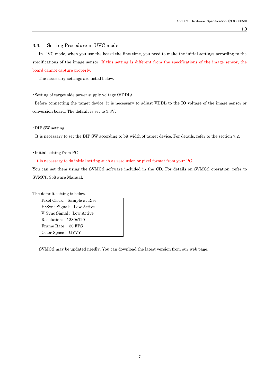#### <span id="page-7-0"></span>3.3. Setting Procedure in UVC mode

In UVC mode, when you use the board the first time, you need to make the initial settings according to the specifications of the image sensor. If this setting is different from the specifications of the image sensor, the board cannot capture properly.

The necessary settings are listed below.

#### ・Setting of target side power supply voltage (VDDL)

Before connecting the target device, it is necessary to adjust VDDL to the IO voltage of the image sensor or conversion board. The default is set to 3.3V.

### ・DIP SW setting

It is necessary to set the DIP SW according to bit width of target device. For details, refer to the section 7.2.

#### ・Initial setting from PC

#### It is necessary to do initial setting such as resolution or pixel format from your PC.

You can set them using the SVMCtl software included in the CD. For details on SVMCtl operation, refer to SVMCtl Software Manual.

The default setting is below.

Pixel Clock: Sample at Rise H-Sync Signal: Low Active V-Sync Signal: Low Active Resolution: 1280x720 Frame Rate: 30 FPS Color Space: UYVY

- SVMCtl may be updated needly. You can download the latest version from our web page.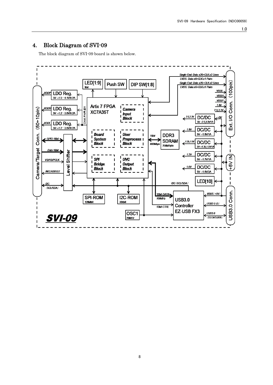### <span id="page-8-0"></span>4. Block Diagram of SVI-09

The block diagram of SVI-09 board is shown below.

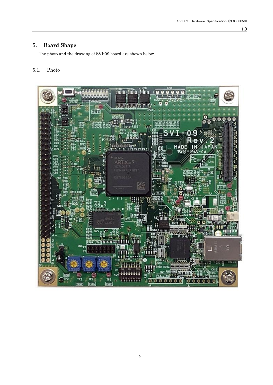### <span id="page-9-0"></span>5. Board Shape

The photo and the drawing of SVI-09 board are shown below.

### <span id="page-9-1"></span>5.1. Photo

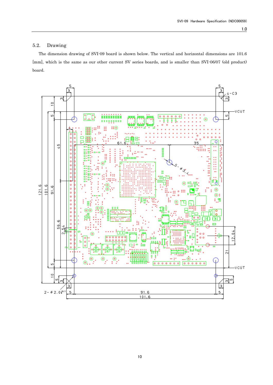### <span id="page-10-0"></span>5.2. Drawing

The dimension drawing of SVI-09 board is shown below. The vertical and horizontal dimensions are 101.6 [mm], which is the same as our other current SV series boards, and is smaller than SVI-06/07 (old product) board.

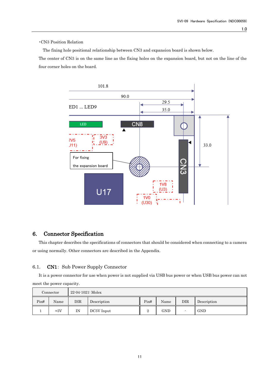### ・CN3 Position Relation

The fixing hole positional relationship between CN3 and expansion board is shown below.

The center of CN3 is on the same line as the fixing holes on the expansion board, but not on the line of the four corner holes on the board.



### <span id="page-11-0"></span>6. Connector Specification

This chapter describes the specifications of connectors that should be considered when connecting to a camera or using normally. Other connectors are described in the Appendix.

### <span id="page-11-1"></span>6.1. CN1: Sub Power Supply Connector

It is a power connector for use when power is not supplied via USB bus power or when USB bus power can not meet the power capacity.

|      | Connector | 22-04-1021: Molex |             |          |            |              |             |
|------|-----------|-------------------|-------------|----------|------------|--------------|-------------|
| Pin# | Name      | DIR               | Description | Pin#     | Name       | $_{\rm DIR}$ | Description |
|      | $+5V$     | ΙN                | DC5V Input  | $\Omega$ | <b>GND</b> |              | <b>GND</b>  |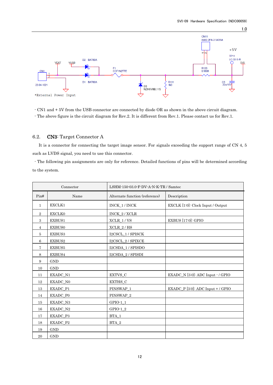

- CN1 and + 5V from the USB connector are connected by diode OR as shown in the above circuit diagram. - The above figure is the circuit diagram for Rev.2. It is different from Rev.1. Please contact us for Rev.1.

### <span id="page-12-0"></span>6.2. CN3: Target Connector A

It is a connector for connecting the target image sensor. For signals exceeding the support range of CN 4, 5 such as LVDS signal, you need to use this connector.

- The following pin assignments are only for reference. Detailed functions of pins will be determined according to the system.

|              | Connector       | $LSHM-150-03.0\text{ F-DV-A-N-K-TR}$ / Samtec |                                                 |  |
|--------------|-----------------|-----------------------------------------------|-------------------------------------------------|--|
| Pin#         | Name            | Alternate function (reference)                | Description                                     |  |
| $\mathbf{1}$ | EXCLK1          | INCK_1 / INCK                                 | EXCLK [1:0]: Clock Input / Output               |  |
| $\,2\,$      | <b>EXCLK0</b>   | INCK_2 / XCLR                                 |                                                 |  |
| 3            | EXBUS1          | $XCLR_1 / VS$                                 | <b>EXBUS</b> [17:0]: GPIO                       |  |
| 4            | <b>EXBUS0</b>   | $XCLR_2/HS$                                   |                                                 |  |
| 5            | EXBUS3          | I2CSCL_1 / SPISCK                             |                                                 |  |
| 6            | EXBUS2          | I2CSCL_2 / SPIXCE                             |                                                 |  |
| 7            | EXBUS5          | I2CSDA 1/SPISDO                               |                                                 |  |
| 8            | EXBUS4          | I2CSDA_2 / SPISDI                             |                                                 |  |
| 9            | <b>GND</b>      |                                               |                                                 |  |
| 10           | <b>GND</b>      |                                               |                                                 |  |
| 11           | EXADC_N1        | $\sf EXTVS\_C$                                | $EXAMPLEXADC_N$ [3:0]: ADC Input $\cdot$ / GPIO |  |
| 12           | EXADC_N0        | EXTHS_C                                       |                                                 |  |
| 13           | EXADC_P1        | PINSWAP_1                                     | EXADC_P [3:0]: ADC Input + / GPIO               |  |
| 14           | <b>EXADC P0</b> | PINSWAP_2                                     |                                                 |  |
| 15           | EXADC_N3        | $GPIO-1_1$                                    |                                                 |  |
| 16           | EXADC_N2        | $GPIO-1_2$                                    |                                                 |  |
| 17           | EXADC_P3        | $BTA_1$                                       |                                                 |  |
| 18           | EXADC P2        | $BTA_2$                                       |                                                 |  |
| 19           | <b>GND</b>      |                                               |                                                 |  |
| 20           | <b>GND</b>      |                                               |                                                 |  |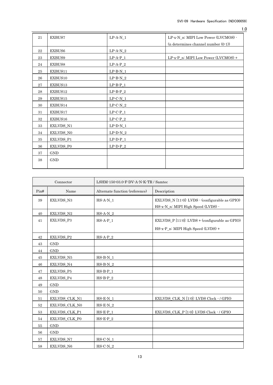| 21 | EXBUS7     | $LP-A-N_1$         | LP-x-N_n: MIPI Low Power (LVCMOS) -    |
|----|------------|--------------------|----------------------------------------|
|    |            |                    | (n determines channel number $(0-1)$ ) |
| 22 | EXBUS6     | $LP-A-N_2$         |                                        |
| 23 | EXBUS9     | $\text{LP-A-P\_1}$ | LP-x-P_n: MIPI Low Power (LVCMOS) +    |
| 24 | EXBUS8     | $LP-A-P_2$         |                                        |
| 25 | EXBUS11    | $\text{LP-B-N\_1}$ |                                        |
| 26 | EXBUS10    | $\text{LP-B-N\_2}$ |                                        |
| 27 | EXBUS13    | $\text{LP-B-P\_1}$ |                                        |
| 28 | EXBUS12    | $LP-B-P_2$         |                                        |
| 29 | EXBUS15    | $LP-C-N_1$         |                                        |
| 30 | EXBUS14    | $\text{LP-C-N\_2}$ |                                        |
| 31 | EXBUS17    | $LP-C-P_1$         |                                        |
| 32 | EXBUS16    | $LP-C-P_2$         |                                        |
| 33 | EXLVDS_N1  | $\text{LP-D-N\_1}$ |                                        |
| 34 | EXLVDS_N0  | $LP-D-N_2$         |                                        |
| 35 | EXLVDS_P1  | $LP-D-P_1$         |                                        |
| 36 | EXLVDS_P0  | $LP-D-P_2$         |                                        |
| 37 | <b>GND</b> |                    |                                        |
| 38 | <b>GND</b> |                    |                                        |
|    |            |                    |                                        |

| Connector |                  | LSHM-150-03.0-F-DV-A-N-K-TR / Samtec  |                                                                                      |  |
|-----------|------------------|---------------------------------------|--------------------------------------------------------------------------------------|--|
| Pin#      | Name             | Alternate function (reference)        | Description                                                                          |  |
| 39        | EXLVDS_N3        | $HS-A-N_1$                            | EXLVDS_N [11:0]: LVDS - (configurable as GPIO)<br>HS-x-N_n: MIPI High Speed (LVDS) - |  |
| 40        | EXLVDS_N2        | $HS-A-N_2$                            |                                                                                      |  |
| 41        | EXLVDS_P3        | HS-A-P 1                              | EXLVDS_P $[11:0]$ : LVDS + (configurable as GPIO)                                    |  |
|           |                  |                                       | HS-x-P_n: MIPI High Speed (LVDS) +                                                   |  |
| 42        | EXLVDS_P2        | $HS-A-P_2$                            |                                                                                      |  |
| 43        | <b>GND</b>       |                                       |                                                                                      |  |
| 44        | <b>GND</b>       |                                       |                                                                                      |  |
| 45        | EXLVDS_N5        | $HS-B-N_1$                            |                                                                                      |  |
| 46        | EXLVDS_N4        | $HS-B-N_2$                            |                                                                                      |  |
| 47        | EXLVDS_P5        | $HS-B-P_1$                            |                                                                                      |  |
| 48        | EXLVDS_P4        | $HS-B-P_2$                            |                                                                                      |  |
| 49        | <b>GND</b>       |                                       |                                                                                      |  |
| 50        | <b>GND</b>       |                                       |                                                                                      |  |
| 51        | EXLVDS_CLK_N1    | $HS-E-N_1$                            | EXLVDS_CLK_N [1:0]: LVDS Clock - / GPIO                                              |  |
| 52        | EXLVDS_CLK_N0    | $\operatorname{HS-}\!E\text{-}\!N\_2$ |                                                                                      |  |
| 53        | EXLVDS_CLK_P1    | $HS-E-P_1$                            | EXLVDS_CLK_P [1:0]: LVDS Clock - / GPIO                                              |  |
| 54        | EXLVDS_CLK_P0    | $HS-E-P_2$                            |                                                                                      |  |
| 55        | <b>GND</b>       |                                       |                                                                                      |  |
| 56        | <b>GND</b>       |                                       |                                                                                      |  |
| 57        | EXLVDS_N7        | $HS-C-N$ 1                            |                                                                                      |  |
| 58        | <b>EXLVDS N6</b> | $HS-C-N_2$                            |                                                                                      |  |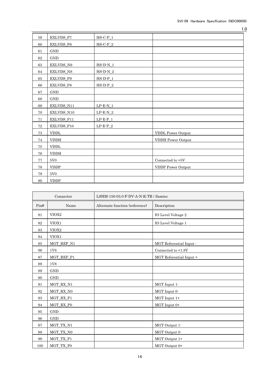| 59       | EXLVDS_P7             | $HS-C-P_1$                                  |                             |
|----------|-----------------------|---------------------------------------------|-----------------------------|
| 60       | EXLVDS_P6             | $HS-C-P_2$                                  |                             |
| 61       | <b>GND</b>            |                                             |                             |
| 62       | <b>GND</b>            |                                             |                             |
| 63       | EXLVDS_N9             | $HS-D-N_1$                                  |                             |
| 64       | EXLVDS_N8             | $\operatorname{HS-}\!\operatorname{D-N\_2}$ |                             |
| 65       | EXLVDS_P9             | $H S \cdot D \cdot P_1$                     |                             |
| 66       | $\textsc{EXLVDS\_P8}$ | $_{\rm HS\text{-}D\text{-}P\_2}$            |                             |
| 67       | $\operatorname{GND}$  |                                             |                             |
| 68       | <b>GND</b>            |                                             |                             |
| 69       | EXLVDS_N11            | $LP-E-N_1$                                  |                             |
| 70       | EXLVDS_N10            | $LP-E-N_2$                                  |                             |
| 71       | EXLVDS_P11            | $LP-E-P_1$                                  |                             |
| $\bf 72$ | EXLVDS_P10            | $\text{LP-E-P\_2}$                          |                             |
| 73       | <b>VDDL</b>           |                                             | <b>VDDL Power Output</b>    |
| 74       | <b>VDDH</b>           |                                             | VDDH Power Output           |
| 75       | <b>VDDL</b>           |                                             |                             |
| 76       | <b>VDDH</b>           |                                             |                             |
| 77       | $5\mathrm{V}0$        |                                             | Connected to $+5\mathrm{V}$ |
| 78       | <b>VDDP</b>           |                                             | VDDP Power Output           |
| 79       | 5V <sub>0</sub>       |                                             |                             |
| 80       | <b>VDDP</b>           |                                             |                             |

| Connector |                   | LSHM-150-03.0-F-DV-A-N-K-TR / Samtec |                         |  |
|-----------|-------------------|--------------------------------------|-------------------------|--|
| Pin#      | Name              | Alternate function (reference)       | Description             |  |
| 81        | VIOX <sub>2</sub> |                                      | IO Level Voltage 2      |  |
| 82        | VIOX1             |                                      | IO Level Voltage 1      |  |
| 83        | VIOX2             |                                      |                         |  |
| 84        | VIOX1             |                                      |                         |  |
| 85        | MGT_REF_N1        |                                      | MGT Referential Input - |  |
| 86        | 1V8               |                                      | Connected to +1.8V      |  |
| 87        | MGT_REF_P1        |                                      | MGT Referential Input + |  |
| 88        | 1V8               |                                      |                         |  |
| 89        | <b>GND</b>        |                                      |                         |  |
| 90        | <b>GND</b>        |                                      |                         |  |
| 91        | MGT_RX_N1         |                                      | MGT Input 1-            |  |
| 92        | MGT_RX_N0         |                                      | MGT Input 0-            |  |
| 93        | MGT_RX_P1         |                                      | MGT Input 1+            |  |
| 94        | MGT_RX_P0         |                                      | MGT Input 0+            |  |
| 95        | <b>GND</b>        |                                      |                         |  |
| 96        | <b>GND</b>        |                                      |                         |  |
| 97        | MGT_TX_N1         |                                      | MGT Output 1-           |  |
| 98        | MGT_TX_N0         |                                      | MGT Output 0-           |  |
| 99        | MGT_TX_P1         |                                      | MGT Output 1+           |  |
| 100       | MGT_TX_P0         |                                      | MGT Output 0+           |  |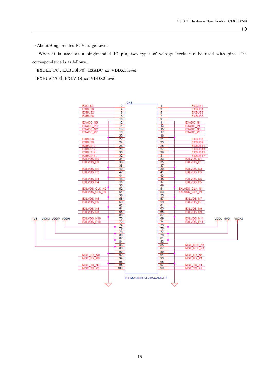- About Single-ended IO Voltage Level

When it is used as a single-ended IO pin, two types of voltage levels can be used with pins. The correspondence is as follows.

EXCLK[1:0], EXBUS[5:0], EXADC\_xx: VDDX1 level

EXBUS[17:6], EXLVDS\_xx: VDDX2 level

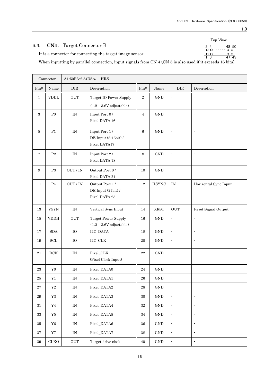Top View

#### . . ・ . ・ . . ・ . . . ・ . ・ . 2 48 50

### <span id="page-16-0"></span>6.3. CN4: Target Connector B

It is a connector for connecting the target image sensor.

When inputting by parallel connection, input signals from CN 4 (CN 5 is also used if it exceeds 16 bits). 1 3 47 49

|              | Connector                    | A1-50PA-2.54DSA: HRS            |                                                       |                |                      |                             |                          |  |
|--------------|------------------------------|---------------------------------|-------------------------------------------------------|----------------|----------------------|-----------------------------|--------------------------|--|
| Pin#         | Name                         | ${\rm DIR}$                     | Description                                           | Pin#           | Name                 | <b>DIR</b>                  | Description              |  |
| $\mathbf{1}$ | $\ensuremath{\mathrm{VDDL}}$ | OUT                             | Target IO Power Supply<br>$(1.2 - 3.6V$ adjustable)   | $\,2$          | $\mathop{\rm GND}$   | Ĭ.                          | $\overline{a}$           |  |
| $\,3$        | ${\rm P}0$                   | $\ensuremath{\text{IN}}$        | Input Port 0/<br>Pixel DATA 16                        | $\overline{4}$ | <b>GND</b>           | $\overline{\phantom{a}}$    | $\overline{\phantom{a}}$ |  |
| 5            | P1                           | $\ensuremath{\text{IN}}$        | Input Port 1/<br>DE Input (8-16bit) /<br>Pixel DATA17 | 6              | $\mathop{\rm GND}$   |                             |                          |  |
| 7            | $\mathbf{P}2$                | $\ensuremath{\text{IN}}$        | Input Port 2/<br>Pixel DATA 18                        | 8              | $\operatorname{GND}$ |                             | ÷,                       |  |
| 9            | $\mathbf{P}3$                | OUT / IN                        | Output Port 0/<br>Pixel DATA 24                       | 10             | $\mathop{\rm GND}$   |                             | $\overline{\phantom{a}}$ |  |
| 11           | P <sub>4</sub>               | OUT / IN                        | Output Port 1/<br>DE Input (24bit) /<br>Pixel DATA 25 | $12\,$         | <b>HSYNC</b>         | $\rm IN$                    | Horizontal Sync Input    |  |
| $13\,$       | ${\rm VSYN}$                 | IN                              | Vertical Sync Input                                   | 14             | <b>XRST</b>          | $_{\mbox{\scriptsize OUT}}$ | Reset Signal Output      |  |
| 15           | <b>VDDH</b>                  | OUT                             | Target Power Supply<br>$(1.2 - 3.6V$ adjustable)      | 16             | <b>GND</b>           | Ĭ.                          | ÷,                       |  |
| 17           | $\operatorname{SDA}$         | ${\rm IO}$                      | I2C_DATA                                              | 18             | $\mathop{\rm GND}$   | $\overline{a}$              | ÷,                       |  |
| 19           | $\operatorname{SCL}$         | $\rm IO$                        | $\rm I2C\_CLK$                                        | $20\,$         | <b>GND</b>           | ÷,                          | ÷,                       |  |
| $21\,$       | $\rm DCK$                    | $\ensuremath{\text{IN}}$        | Pixel_CLK<br>(Pixel Clock Input)                      | $22\,$         | $\mathop{\rm GND}$   | $\blacksquare$              | $\blacksquare$           |  |
| 23           | ${\bf Y0}$                   | IN                              | Pixel_DATA0                                           | $\bf 24$       | $\mathop{\rm GND}$   | $\blacksquare$              | ÷,                       |  |
| $25\,$       | $\rm Y1$                     | $\ensuremath{\text{IN}}$        | Pixel_DATA1                                           | ${\bf 26}$     | $\mathop{\rm GND}$   |                             |                          |  |
| $\bf 27$     | $\rm Y2$                     | IN                              | Pixel_DATA2                                           | $\bf 28$       | $\mathop{\rm GND}$   | $\blacksquare$              | $\blacksquare$           |  |
| $\bf 29$     | $\rm Y3$                     | IN                              | Pixel_DATA3                                           | $30\,$         | $\mathop{\rm GND}$   | $\blacksquare$              | $\blacksquare$           |  |
| $31\,$       | Y4                           | $\ensuremath{\text{IN}}$        | Pixel_DATA4                                           | $32\,$         | $\mathop{\rm GND}$   | $\blacksquare$              | $\blacksquare$           |  |
| $33\,$       | ${\rm Y5}$                   | IN                              | Pixel_DATA5                                           | 34             | $\operatorname{GND}$ | ÷                           | $\blacksquare$           |  |
| $35\,$       | ${\it Y6}$                   | IN                              | Pixel_DATA6                                           | 36             | $\operatorname{GND}$ | ä,                          | ÷,                       |  |
| 37           | $\rm Y7$                     | $\ensuremath{\text{IN}}\xspace$ | Pixel_DATA7                                           | $38\,$         | $\operatorname{GND}$ | $\blacksquare$              | ÷,                       |  |
| $39\,$       | ${\rm CLKO}$                 | $\rm OUT$                       | Target drive clock                                    | $40\,$         | $\operatorname{GND}$ | ÷                           | $\blacksquare$           |  |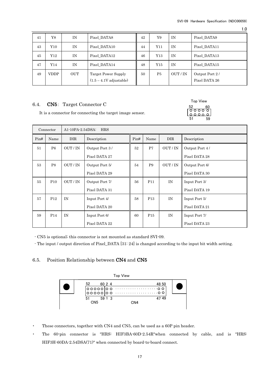51 59

Top View 52 60 1.0

| 41 | Y8          | IN         | Pixel DATA8                                      | 42 | Y9  | ΙN     | Pixel DATA9                     |
|----|-------------|------------|--------------------------------------------------|----|-----|--------|---------------------------------|
| 43 | Y10.        | IN         | Pixel DATA10                                     | 44 | Y11 | IN     | Pixel DATA11                    |
| 45 | Y12         | IN         | Pixel DATA12                                     | 46 | Y13 | ΙN     | Pixel_DATA13                    |
| 47 | Y14         | IN         | Pixel DATA14                                     | 48 | Y15 | ΙN     | Pixel DATA15                    |
| 49 | <b>VDDP</b> | <b>OUT</b> | Target Power Supply<br>$(1.5 - 4.1V)$ adjustable | 50 | P5  | OUT/IN | Output Port 2/<br>Pixel DATA 26 |

### <span id="page-17-0"></span>6.4. CN5: Target Connector C

It is a connector for connecting the target image sensor.

| Connector |                 |        | <b>HRS</b><br>A1-10PA-2.54DSA: |      |                 |            |                |  |  |
|-----------|-----------------|--------|--------------------------------|------|-----------------|------------|----------------|--|--|
| Pin#      | Name            | DIR.   | Description                    | Pin# | Name            | <b>DIR</b> | Description    |  |  |
| 51        | P6              | OUT/IN | Output Port 3/                 | 52   | P7              | OUT/IN     | Output Port 4/ |  |  |
|           |                 |        | Pixel DATA 27                  |      |                 |            | Pixel DATA 28  |  |  |
| 53        | P <sub>8</sub>  | OUT/IN | Output Port 5/                 | 54   | <b>P9</b>       | OUT/IN     | Output Port 6/ |  |  |
|           |                 |        | Pixel DATA 29                  |      |                 |            | Pixel DATA 30  |  |  |
| 55        | P <sub>10</sub> | OUT/IN | Output Port 7/                 | 56   | P11             | IN         | Input Port 3/  |  |  |
|           |                 |        | Pixel DATA 31                  |      |                 |            | Pixel DATA 19  |  |  |
| 57        | P <sub>12</sub> | IN     | Input Port 4/                  | 58   | P <sub>13</sub> | IN         | Input Port 5/  |  |  |
|           |                 |        | Pixel DATA 20                  |      |                 |            | Pixel DATA 21  |  |  |
| 59        | P <sub>14</sub> | IN     | Input Port 6/                  | 60   | P <sub>15</sub> | IN         | Input Port 7/  |  |  |
|           |                 |        | Pixel DATA 22                  |      |                 |            | Pixel DATA 23  |  |  |

 $\cdot$  CN5 is optional; this connector is not mounted as standard SVI-09.

- The input / output direction of Pixel\_DATA [31: 24] is changed according to the input bit width setting.

### <span id="page-17-1"></span>6.5. Position Relationship between CN4 and CN5



- ・ These connectors, together with CN4 and CN5, can be used as a 60P pin header.
- ・ The 60-pin connector is "HRS: HIF3BA-60D-2.54R"when connected by cable, and is "HRS: HIF3H-60DA-2.54DSA(71)" when connected by board-to-board connect.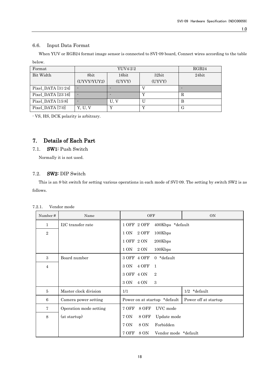### <span id="page-18-0"></span>6.6. Input Data Format

When YUV or RGB24 format image sensor is connected to SVI-09 board, Connect wires according to the table below.

| Format             |             | RGB24  |        |       |
|--------------------|-------------|--------|--------|-------|
| Bit Width          | 8bit        | 16bit  | 32bit  | 24bit |
|                    | (UYVY/YUY2) | (UYVY) | (UYVY) |       |
| Pixel_DATA [31:24] |             |        |        |       |
| Pixel DATA [23:16] |             |        |        | R     |
| Pixel DATA [15:8]  |             | U. V   |        | В     |
| Pixel_DATA [7:0]   | Y. U. V     |        |        | G     |

- VS, HS, DCK polarity is arbitrary.

### <span id="page-18-1"></span>7. Details of Each Part

### <span id="page-18-2"></span>7.1. SW1: Push Switch

Normally it is not used.

### <span id="page-18-3"></span>7.2. SW2: DIP Switch

This is an 8-bit switch for setting various operations in each mode of SVI-09. The setting by switch SW2 is as follows.

<span id="page-18-4"></span>

| Vendor mode<br>7.2.1. |
|-----------------------|
|-----------------------|

| Number#        | Name                   | OFF                                   | <b>ON</b>            |
|----------------|------------------------|---------------------------------------|----------------------|
| $\mathbf{1}$   | I2C transfer rate      | 1 OFF 2 OFF<br>400Kbps *default       |                      |
| $\overline{2}$ |                        | 1 ON<br>2 OFF<br>100Kbps              |                      |
|                |                        | 1 OFF 2 ON<br>200Kbps                 |                      |
|                |                        | 1 ON<br>2 ON<br>100Kbps               |                      |
| 3              | Board number           | 3 OFF 4 OFF<br>$0 *$ default          |                      |
| $\overline{4}$ |                        | 4 OFF<br>3 ON<br>$\mathbf{1}$         |                      |
|                |                        | 3 OFF 4 ON<br>$\overline{2}$          |                      |
|                |                        | 3 ON<br>4 ON<br>3                     |                      |
| 5              | Master clock division  | 1/1                                   | $1/2$ *default       |
| 6              | Camera power setting   | Power on at startup *default          | Power off at startup |
| 7              | Operation mode setting | 7 OFF<br><b>8 OFF</b><br>UVC mode     |                      |
| 8              | (at startup)           | 7 ON<br>8 OFF<br>Update mode          |                      |
|                |                        | Forbidden<br>7 ON<br>8 ON             |                      |
|                |                        | 7 OFF<br>8 ON<br>Vendor mode *default |                      |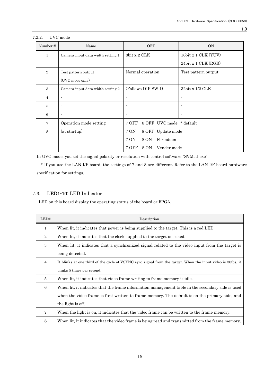| Number#        | Name                              | <b>OFF</b>                        | <b>ON</b>                |
|----------------|-----------------------------------|-----------------------------------|--------------------------|
| 1              | Camera input data width setting 1 | 8bit x 2 CLK                      | 16bit x 1 CLK (YUV)      |
|                |                                   |                                   | 24bit x 1 CLK (RGB)      |
| $\overline{2}$ | Test pattern output               | Normal operation                  | Test pattern output      |
|                | (UVC mode only)                   |                                   |                          |
| 3              | Camera input data width setting 2 | (Follows DIP SW 1)                | $32bit \times 1/2$ CLK   |
| $\overline{4}$ | ٠                                 | ٠                                 |                          |
| 5              | $\blacksquare$                    | $\overline{\phantom{a}}$          | $\overline{\phantom{a}}$ |
| 6              | $\blacksquare$                    | $\blacksquare$                    |                          |
| 7              | Operation mode setting            | 8 OFF UVC mode * default<br>7 OFF |                          |
| 8              | (at startup)                      | 7 ON<br>8 OFF Update mode         |                          |
|                |                                   | 7 ON<br>Forbidden<br>8 ON         |                          |
|                |                                   | 7 OFF<br>Vender mode<br>8 ON      |                          |

#### <span id="page-19-0"></span>7.2.2. UVC mode

In UVC mode, you set the signal polarity or resolution with control software "SVMctl.exe".

\* If you use the LAN I/F board, the settings of 7 and 8 are different. Refer to the LAN I/F board hardware specification for settings.

### <span id="page-19-1"></span>7.3. LED1-10: LED Indicator

LED on this board display the operating status of the board or FPGA.

| LED#           | Description                                                                                                 |
|----------------|-------------------------------------------------------------------------------------------------------------|
| 1              | When lit, it indicates that power is being supplied to the target. This is a red LED.                       |
| $\overline{2}$ | When lit, it indicates that the clock supplied to the target is locked.                                     |
| 3              | When lit, it indicates that a synchronized signal related to the video input from the target is             |
|                | being detected.                                                                                             |
| $\overline{4}$ | It blinks at one third of the cycle of VSYNC sync signal from the target. When the input video is 30fps, it |
|                | blinks 5 times per second.                                                                                  |
| 5              | When lit, it indicates that video frame writing to frame memory is idle.                                    |
| 6              | When lit, it indicates that the frame information management table in the secondary side is used            |
|                | when the video frame is first written to frame memory. The default is on the primary side, and              |
|                | the light is off.                                                                                           |
| $\overline{7}$ | When the light is on, it indicates that the video frame can be written to the frame memory.                 |
| 8              | When lit, it indicates that the video frame is being read and transmitted from the frame memory.            |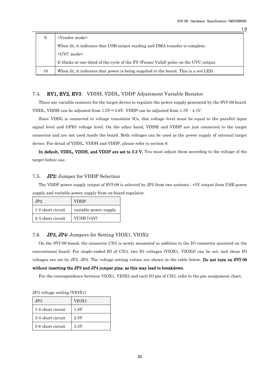| 9  | <vendor mode=""></vendor>                                                            |
|----|--------------------------------------------------------------------------------------|
|    | When lit, it indicates that USB output reading and DMA transfer is complete.         |
|    | <uvc mode=""></uvc>                                                                  |
|    | It blinks at one-third of the cycle of the FV (Frame Valid) pulse on the UVC output. |
| 10 | When lit, it indicates that power is being supplied to the board. This is a red LED. |

### <span id="page-20-0"></span>7.4. RV1, RV2, RV3: VDDH, VDDL, VDDP Adjustment Variable Resistor

These are variable resistors for the target device to regulate the power supply generated by the SVI-09 board. VDDL, VDDH can be adjusted from  $1.2V \sim 3.6V$ . VDDP can be adjusted from  $1.5V \cdot 4.1V$ .

Since VDDL is connected to voltage translator ICs, this voltage level must be equal to the parallel input signal level and GPIO voltage level. On the other hand, VDDH and VDDP are just connected to the target connector and are not used inside the board. Both voltages can be used as the power supply of external target device. For detail of VDDL, VDDH and VDDP, please refer to section 9.

In default, VDDL, VDDH, and VDDP are set to 3.3 V. You must adjust them according to the voltage of the target before use.

### <span id="page-20-1"></span>7.5. JP2: Jumper for VDDP Selection

The VDDP power supply output of SVI-09 is selected by JP2 from two systems ; +5V output from USB power supply and variable power supply from on-board regulator.

| JP2               | <b>VDDP</b>           |
|-------------------|-----------------------|
| 1-2 short circuit | variable power supply |
| 2-3 short circuit | $VUSB (+5V)$          |

### <span id="page-20-2"></span>7.6. JP3, JP4: Jumpers for Setting VIOX1, VIOX2

On the SVI-09 board, the connector CN3 is newly mouneted in addition to the IO connector mounted on the conventional board. For single-ended IO of CN3, two IO voltages (VIOX1, VIOX2) can be set, and these IO voltages are set by JP3, JP4. The voltage setting values are shown in the table below. Do not turn on SVI-09 without inserting the JP3 and JP4 jumper pins, as this may lead to breakdown.

For the correspondence between VIOX1, VIOX2 and each IO pin of CN3, refer to the pin assignment chart.

| 01 0 voltage setting (VIOAI) |       |  |  |  |
|------------------------------|-------|--|--|--|
| JP3                          | VIOX1 |  |  |  |
| 1-2 short circuit            | 1.8V  |  |  |  |
| 3-4 short circuit            | 2.5V  |  |  |  |
| 5-6 short circuit            | 3.3V  |  |  |  |

|  | JP3 voltage setting (VIOX1) |  |
|--|-----------------------------|--|
|  |                             |  |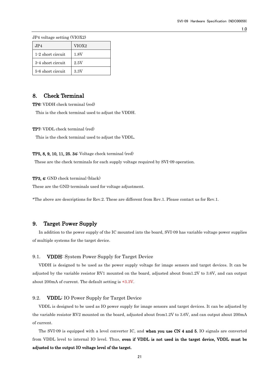JP4 voltage setting (VIOX2)

| JP4               | VIOX <sub>2</sub> |
|-------------------|-------------------|
| 1-2 short circuit | 1.8V              |
| 3-4 short circuit | 2.5V              |
| 5-6 short circuit | 3.3V              |

### <span id="page-21-0"></span>8. Check Terminal

TP6: VDDH check terminal (red)

This is the check terminal used to adjust the VDDH.

TP7: VDDL check terminal (red)

This is the check terminal used to adjust the VDDL.

#### TP5, 8, 9, 10, 11, 25. 34: Voltage check terminal (red)

These are the check terminals for each supply voltage required by SVI-09 operation.

### TP3, 4: GND check terminal (black)

These are the GND terminals used for voltage adjustment.

\*The above are descriptions for Rev.2. These are different from Rev.1. Please contact us for Rev.1.

### <span id="page-21-1"></span>9. Target Power Supply

In addition to the power supply of the IC mounted into the board, SVI-09 has variable voltage power supplies of multiple systems for the target device.

### <span id="page-21-2"></span>9.1. VDDH: System Power Supply for Target Device

VDDH is designed to be used as the power supply voltage for image sensors and target devices. It can be adjusted by the variable resistor RV1 mounted on the board, adjusted about from1.2V to 3.6V, and can output about 200mA of current. The default setting is +3.3V.

#### <span id="page-21-3"></span>9.2. VDDL: IO Power Supply for Target Device

VDDL is designed to be used as IO power supply for image sensors and target devices. It can be adjusted by the variable resistor RV2 mounted on the board, adjusted about from1.2V to 3.6V, and can output about 200mA of current.

The SVI-09 is equipped with a level converter IC, and when you use CN 4 and 5, IO signals are converted from VDDL level to internal IO level. Thus, even if VDDL is not used in the target device, VDDL must be adjusted to the output IO voltage level of the target.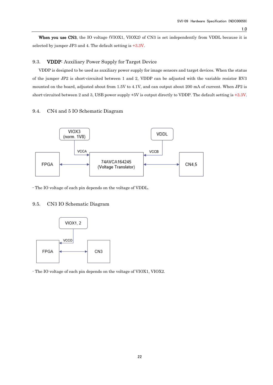When you use CN3, the IO voltage (VIOX1, VIOX2) of CN3 is set independently from VDDL because it is selected by jumper JP3 and 4. The default setting is +3.3V.

### <span id="page-22-0"></span>9.3. VDDP: Auxiliary Power Supply for Target Device

VDDP is designed to be used as auxiliary power supply for image sensors and target devices. When the status of the jumper JP2 is short-circuited between 1 and 2, VDDP can be adjusted with the variable resistor RV3 mounted on the board, adjusted about from 1.5V to 4.1V, and can output about 200 mA of current. When JP2 is short-circuited between 2 and 3, USB power supply +5V is output directly to VDDP. The default setting is +3.3V.

### <span id="page-22-1"></span>9.4. CN4 and 5 IO Schematic Diagram



- The IO voltage of each pin depends on the voltage of VDDL.

### <span id="page-22-2"></span>9.5. CN3 IO Schematic Diagram



- The IO voltage of each pin depends on the voltage of VIOX1, VIOX2.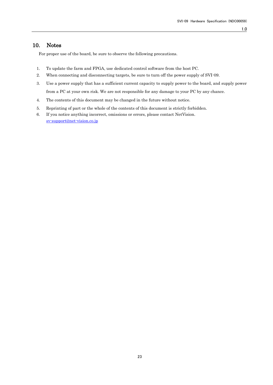### <span id="page-23-0"></span>10. Notes

For proper use of the board, be sure to observe the following precautions.

- 1. To update the farm and FPGA, use dedicated control software from the host PC.
- 2. When connecting and disconnecting targets, be sure to turn off the power supply of SVI-09.
- 3. Use a power supply that has a sufficient current capacity to supply power to the board, and supply power from a PC at your own risk. We are not responsible for any damage to your PC by any chance.
- 4. The contents of this document may be changed in the future without notice.
- 5. Reprinting of part or the whole of the contents of this document is strictly forbidden.
- 6. If you notice anything incorrect, omissions or errors, please contact NetVision. [sv-support@net-vision.co.jp](mailto:sv-support@net-vision.co.jp)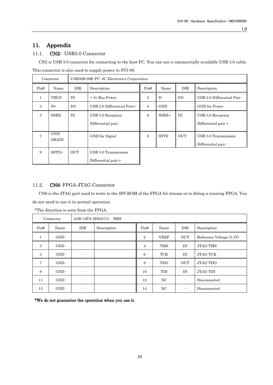### <span id="page-24-0"></span>11. Appendix

### <span id="page-24-1"></span>11.1. CN2: USB3.0 Connector

CN2 is USB 3.0 connector for connecting to the host PC. You can use a commercially available USB 3.0 cable. This connector is also used to supply power to SVI-09.

|                | Connector                  | USB30B-09K-PC: JC Electronics Corporation |                            |                |            |            |                            |
|----------------|----------------------------|-------------------------------------------|----------------------------|----------------|------------|------------|----------------------------|
| Pin#           | Name                       | DIR                                       | Description                | Pin#           | Name       | <b>DIR</b> | Description                |
| $\mathbf{1}$   | <b>VBUS</b>                | IN                                        | + 5y Bus Power             | $\overline{2}$ | $D$ -      | I/O        | USB 2.0 Differential Pair- |
| $\mathcal{S}$  | $D+$                       | I/O                                       | USB 2.0 Differential Pair+ | $\overline{4}$ | <b>GND</b> |            | GND for Power              |
| $\overline{5}$ | SSRX-                      | IN                                        | USB 3.0 Reception          | 6              | $SSRX+$    | IN         | USB 3.0 Reception          |
|                |                            |                                           | Differential pair -        |                |            |            | Differential pair +        |
| 7              | <b>GND</b><br><b>DRAIN</b> |                                           | GND for Signal             | 8              | SSTX-      | <b>OUT</b> | USB 3.0 Transmission       |
|                |                            |                                           |                            |                |            |            | Differential pair -        |
| 9              | $SSTX+$                    | <b>OUT</b>                                | USB 3.0 Transmission       |                |            |            |                            |
|                |                            |                                           | Differential pair +        |                |            |            |                            |

### <span id="page-24-2"></span>11.2. CN6: FPGA-JTAG Connector

CN6 is the JTAG port used to write to the SPI-ROM of the FPGA bit stream or to debug a running FPGA. You do not need to use it in normal operation.

|                | Connector  | $A3B-14PA-2DSA(71)$ : HRS |             |                |             |                          |                          |
|----------------|------------|---------------------------|-------------|----------------|-------------|--------------------------|--------------------------|
| Pin#           | Name       | DIR                       | Description | Pin#           | Name        | DIR                      | Description              |
| $\mathbf{1}$   | <b>GND</b> | ٠                         |             | $\overline{2}$ | <b>VREF</b> | <b>OUT</b>               | Reference Voltage (3.3V) |
| $\mathcal{S}$  | <b>GND</b> |                           |             | $\overline{4}$ | <b>TMS</b>  | IN                       | <b>JTAG-TMS</b>          |
| $\overline{5}$ | <b>GND</b> | ٠                         |             | 6              | TCK         | IN                       | JTAG-TCK                 |
| $\overline{7}$ | <b>GND</b> | $\overline{\phantom{a}}$  |             | 8              | <b>TDO</b>  | <b>OUT</b>               | JTAG-TDO                 |
| 9              | <b>GND</b> | $\overline{\phantom{a}}$  |             | 10             | <b>TDI</b>  | IN                       | JTAG-TDI                 |
| 11             | <b>GND</b> |                           |             | 12             | NC          | $\overline{\phantom{a}}$ | Disconnected             |
| 13             | <b>GND</b> | $\overline{\phantom{a}}$  |             | 14             | NC          | $\blacksquare$           | Disconnected             |

\*The direction is seen from the FPGA.

\*We do not guarantee the operation when you use it.